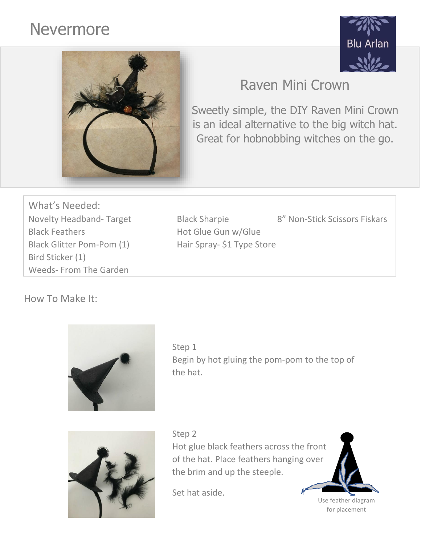# Nevermore





# Raven Mini Crown

Sweetly simple, the DIY Raven Mini Crown is an ideal alternative to the big witch hat. Great for hobnobbing witches on the go.

What's Needed: Novelty Headband- Target Black Sharpie 8" Non-Stick Scissors Fiskars Black Feathers **Hot Glue Gun w/Glue** Black Glitter Pom-Pom (1) Hair Spray- \$1 Type Store Bird Sticker (1) Weeds- From The Garden

How To Make It:



Step 1 Begin by hot gluing the pom-pom to the top of the hat.



Step 2 Hot glue black feathers across the front of the hat. Place feathers hanging over the brim and up the steeple.

Set hat aside.



for placement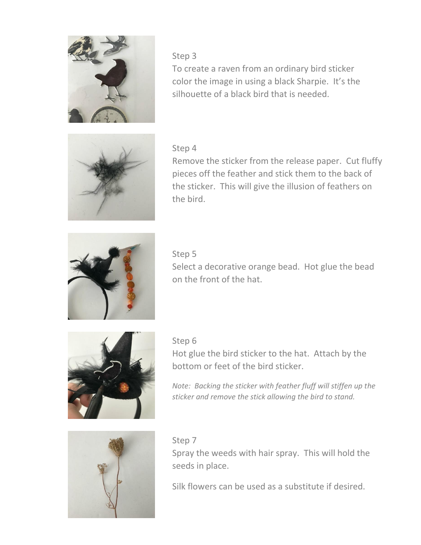

#### Step 3

To create a raven from an ordinary bird sticker color the image in using a black Sharpie. It's the silhouette of a black bird that is needed.



#### Step 4

Remove the sticker from the release paper. Cut fluffy pieces off the feather and stick them to the back of the sticker. This will give the illusion of feathers on the bird.



#### Step 5

Select a decorative orange bead. Hot glue the bead on the front of the hat.



#### Step 6

Hot glue the bird sticker to the hat. Attach by the bottom or feet of the bird sticker.

*Note: Backing the sticker with feather fluff will stiffen up the sticker and remove the stick allowing the bird to stand.*



#### Step 7

Spray the weeds with hair spray. This will hold the seeds in place.

Silk flowers can be used as a substitute if desired.